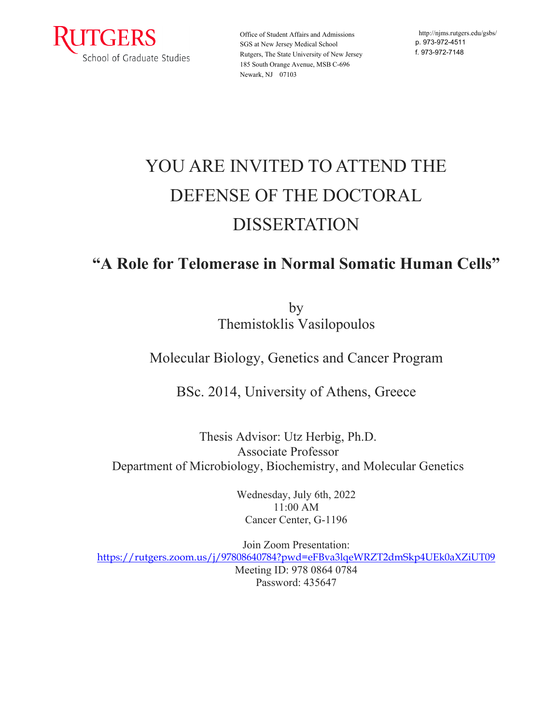

Office of Student Affairs and Admissions SGS at New Jersey Medical School Rutgers, The State University of New Jersey 185 South Orange Avenue, MSB C-696 Newark, NJ 07103

http:/[/njms.rutgers.edu/gsbs/](http://njms.rutgers.edu/gsbs/) p. 973-972-4511 f. 973-972-7148

## YOU ARE INVITED TO ATTEND THE DEFENSE OF THE DOCTORAL DISSERTATION

## **"A Role for Telomerase in Normal Somatic Human Cells"**

by Themistoklis Vasilopoulos

## Molecular Biology, Genetics and Cancer Program

BSc. 2014, University of Athens, Greece

Thesis Advisor: Utz Herbig, Ph.D. Associate Professor Department of Microbiology, Biochemistry, and Molecular Genetics

> Wednesday, July 6th, 2022 11:00 AM Cancer Center, G-1196

Join Zoom Presentation: <https://rutgers.zoom.us/j/97808640784?pwd=eFBva3lqeWRZT2dmSkp4UEk0aXZiUT09> Meeting ID: 978 0864 0784 Password: 435647